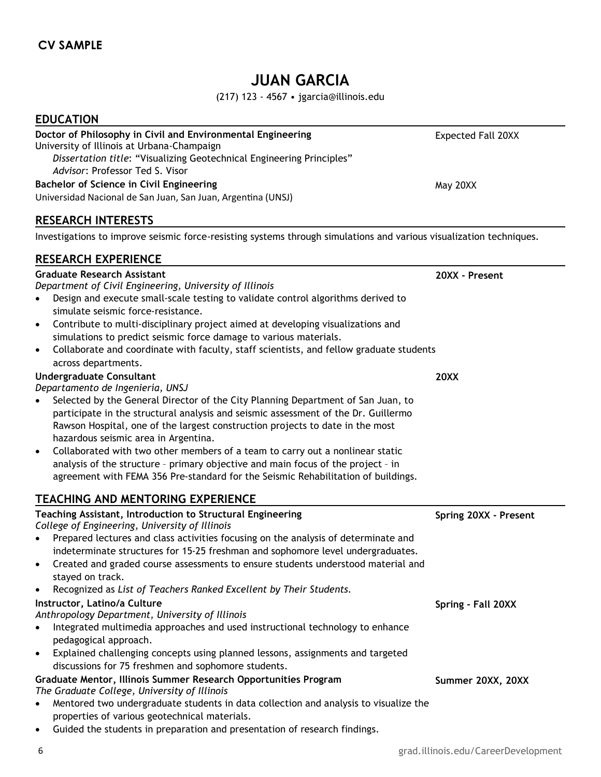# **JUAN GARCIA**

(217) 123 - 4567 • jgarcia@illinois.edu

#### **EDUCATION**

#### **Doctor of Philosophy in Civil and Environmental Engineering**  University of Illinois at Urbana-Champaign

*Dissertation title*: "Visualizing Geotechnical Engineering Principles" *Advisor*: Professor Ted S. Visor **Bachelor of Science in Civil Engineering**

Universidad Nacional de San Juan, San Juan, Argentina (UNSJ)

## **RESEARCH INTERESTS**

Investigations to improve seismic force-resisting systems through simulations and various visualization techniques.

#### **RESEARCH EXPERIENCE**

#### **Graduate Research Assistant**

## *Department of Civil Engineering, University of Illinois*

- Design and execute small-scale testing to validate control algorithms derived to simulate seismic force-resistance.
- Contribute to multi-disciplinary project aimed at developing visualizations and simulations to predict seismic force damage to various materials.
- Collaborate and coordinate with faculty, staff scientists, and fellow graduate students across departments.

#### **Undergraduate Consultant**

*Departamento de Ingeniería, UNSJ*

- Selected by the General Director of the City Planning Department of San Juan, to participate in the structural analysis and seismic assessment of the Dr. Guillermo Rawson Hospital, one of the largest construction projects to date in the most hazardous seismic area in Argentina.
- Collaborated with two other members of a team to carry out a nonlinear static analysis of the structure – primary objective and main focus of the project – in agreement with FEMA 356 Pre-standard for the Seismic Rehabilitation of buildings.

#### **TEACHING AND MENTORING EXPERIENCE**

| Teaching Assistant, Introduction to Structural Engineering                                        | Spring 20XX - Present |
|---------------------------------------------------------------------------------------------------|-----------------------|
| College of Engineering, University of Illinois                                                    |                       |
| Prepared lectures and class activities focusing on the analysis of determinate and<br>$\bullet$   |                       |
| indeterminate structures for 15-25 freshman and sophomore level undergraduates.                   |                       |
| Created and graded course assessments to ensure students understood material and<br>$\bullet$     |                       |
| stayed on track.                                                                                  |                       |
| Recognized as List of Teachers Ranked Excellent by Their Students.<br>$\bullet$                   |                       |
| Instructor, Latino/a Culture                                                                      | Spring - Fall 20XX    |
| Anthropology Department, University of Illinois                                                   |                       |
| Integrated multimedia approaches and used instructional technology to enhance<br>$\bullet$        |                       |
| pedagogical approach.                                                                             |                       |
| Explained challenging concepts using planned lessons, assignments and targeted<br>$\bullet$       |                       |
| discussions for 75 freshmen and sophomore students.                                               |                       |
| Graduate Mentor, Illinois Summer Research Opportunities Program                                   | Summer 20XX, 20XX     |
| The Graduate College, University of Illinois                                                      |                       |
| Mentored two undergraduate students in data collection and analysis to visualize the<br>$\bullet$ |                       |
| properties of various geotechnical materials.                                                     |                       |
| Guided the students in preparation and presentation of research findings.<br>$\bullet$            |                       |

Expected Fall 20XX

May 20XX

**20XX - Present**

**20XX**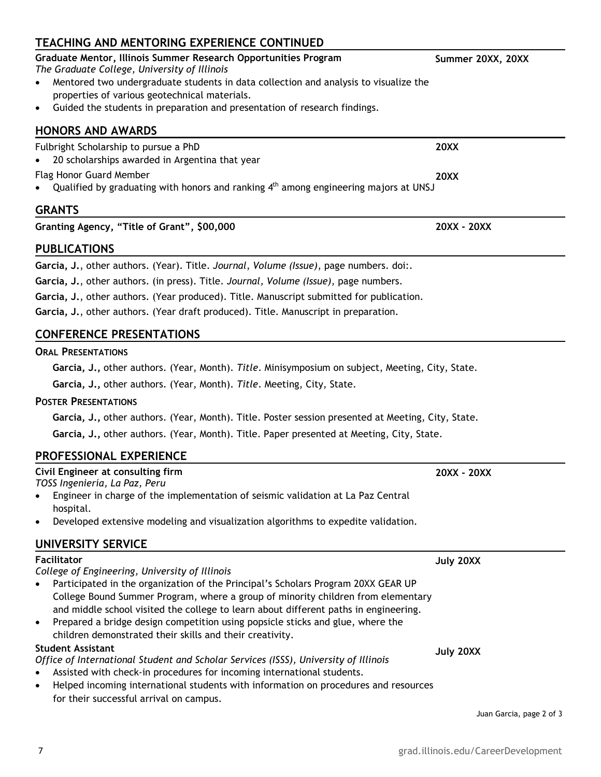## **TEACHING AND MENTORING EXPERIENCE CONTINUED**

#### *The Graduate College, University of Illinois*  Mentored two undergraduate students in data collection and analysis to visualize the properties of various geotechnical materials. Guided the students in preparation and presentation of research findings. **HONORS AND AWARDS**  Fulbright Scholarship to pursue a PhD 20 scholarships awarded in Argentina that year **20XX**

Flag Honor Guard Member

• Qualified by graduating with honors and ranking  $4<sup>th</sup>$  among engineering majors at UNSJ

# **GRANTS**

|  | Granting Agency, "Title of Grant", \$00,000 |  |
|--|---------------------------------------------|--|
|--|---------------------------------------------|--|

## **PUBLICATIONS**

**Garcia, J.**, other authors. (Year). Title. *Journal*, *Volume (Issue)*, page numbers. doi:.

**Garcia, J.**, other authors. (in press). Title. *Journal, Volume (Issue)*, page numbers.

**Garcia, J.**, other authors. (Year produced). Title. Manuscript submitted for publication.

**Garcia, J.**, other authors. (Year draft produced). Title. Manuscript in preparation.

# **CONFERENCE PRESENTATIONS**

## **ORAL PRESENTATIONS**

## **POSTER PRESENTATIONS**

# **PROFESSIONAL EXPERIENCE**

*TOSS Ingeniería, La Paz, Peru* 

 Engineer in charge of the implementation of seismic validation at La Paz Central hospital.

Developed extensive modeling and visualization algorithms to expedite validation.

# **UNIVERSITY SERVICE**

## **Facilitator**

*College of Engineering, University of Illinois*

- Participated in the organization of the Principal's Scholars Program 20XX GEAR UP College Bound Summer Program, where a group of minority children from elementary and middle school visited the college to learn about different paths in engineering.
- Prepared a bridge design competition using popsicle sticks and glue, where the children demonstrated their skills and their creativity.

## **Student Assistant**

*Office of International Student and Scholar Services (ISSS), University of Illinois*

- 
- Helped incoming international students with information on procedures and resources for their successful arrival on campus.

Juan Garcia, page 2 of 3

# **Graduate Mentor, Illinois Summer Research Opportunities Program**

**Garcia, J.,** other authors. (Year, Month). *Title*. Minisymposium on subject, Meeting, City, State. **Garcia, J.,** other authors. (Year, Month). *Title*. Meeting, City, State. **Garcia, J.,** other authors. (Year, Month). Title. Poster session presented at Meeting, City, State. **Garcia, J.,** other authors. (Year, Month). Title. Paper presented at Meeting, City, State. **Civil Engineer at consulting firm 20XX - 20XX July 20XX**  Assisted with check-in procedures for incoming international students. **July 20XX** 

**Summer 20XX, 20XX** 

**20XX** 

**Granting Agency, "Title of Grant", \$00,000 20XX - 20XX**